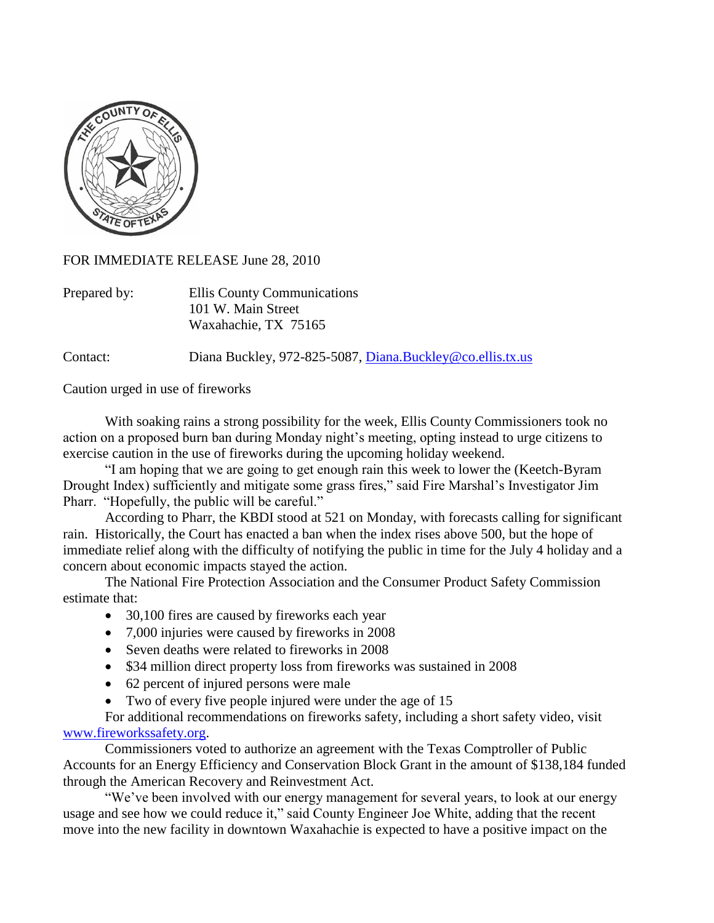

FOR IMMEDIATE RELEASE June 28, 2010

| Prepared by: | Ellis County Communications |
|--------------|-----------------------------|
|              | 101 W. Main Street          |
|              | Waxahachie, TX 75165        |

Contact: Diana Buckley, 972-825-5087, [Diana.Buckley@co.ellis.tx.us](mailto:Diana.Buckley@co.ellis.tx.us)

Caution urged in use of fireworks

With soaking rains a strong possibility for the week, Ellis County Commissioners took no action on a proposed burn ban during Monday night's meeting, opting instead to urge citizens to exercise caution in the use of fireworks during the upcoming holiday weekend.

"I am hoping that we are going to get enough rain this week to lower the (Keetch-Byram Drought Index) sufficiently and mitigate some grass fires," said Fire Marshal's Investigator Jim Pharr. "Hopefully, the public will be careful."

According to Pharr, the KBDI stood at 521 on Monday, with forecasts calling for significant rain. Historically, the Court has enacted a ban when the index rises above 500, but the hope of immediate relief along with the difficulty of notifying the public in time for the July 4 holiday and a concern about economic impacts stayed the action.

The National Fire Protection Association and the Consumer Product Safety Commission estimate that:

- 30,100 fires are caused by fireworks each year
- 7,000 injuries were caused by fireworks in 2008
- Seven deaths were related to fireworks in 2008
- \$34 million direct property loss from fireworks was sustained in 2008
- 62 percent of injured persons were male
- Two of every five people injured were under the age of 15

For additional recommendations on fireworks safety, including a short safety video, visit [www.fireworkssafety.org.](http://www.fireworkssafety.org/)

Commissioners voted to authorize an agreement with the Texas Comptroller of Public Accounts for an Energy Efficiency and Conservation Block Grant in the amount of \$138,184 funded through the American Recovery and Reinvestment Act.

"We've been involved with our energy management for several years, to look at our energy usage and see how we could reduce it," said County Engineer Joe White, adding that the recent move into the new facility in downtown Waxahachie is expected to have a positive impact on the